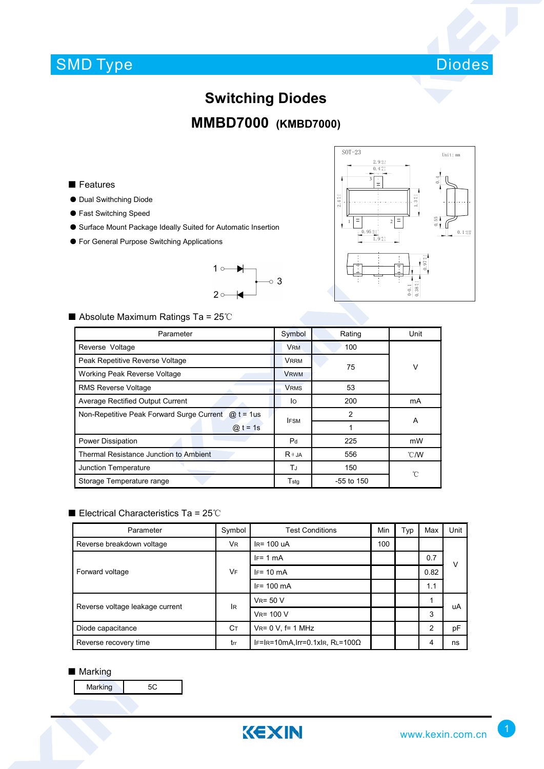## SMD Type



# **Switching Diodes MMBD7000 (KMBD7000)**

#### ■ Features

- Dual Swithching Diode
- Fast Switching Speed
- Surface Mount Package Ideally Suited for Automatic Insertion
- For General Purpose Switching Applications





### ■ Absolute Maximum Ratings Ta = 25℃

| Parameter                                                 |                | Rating       | Unit |  |
|-----------------------------------------------------------|----------------|--------------|------|--|
| Reverse Voltage                                           |                | 100          |      |  |
| Peak Repetitive Reverse Voltage                           |                | 75           | V    |  |
| Working Peak Reverse Voltage                              | <b>VRWM</b>    |              |      |  |
| <b>RMS Reverse Voltage</b>                                | <b>VRMS</b>    | 53           |      |  |
| <b>Average Rectified Output Current</b>                   | lo.            | 200          | mA   |  |
| Non-Repetitive Peak Forward Surge Current<br>@ $t = 1$ us | <b>IFSM</b>    | 2            | A    |  |
| $\omega$ t = 1s                                           |                |              |      |  |
| Power Dissipation                                         | P <sub>d</sub> | 225          | mW   |  |
| Thermal Resistance Junction to Ambient                    | $R \theta$ JA  | 556          | °C/W |  |
| Junction Temperature                                      |                | 150          | °C   |  |
| Storage Temperature range                                 | Tstq           | $-55$ to 150 |      |  |

#### ■ Electrical Characteristics Ta = 25℃

| Parameter                       | Symbol         | <b>Test Conditions</b>                  | Min | Typ | Max  | Unit |
|---------------------------------|----------------|-----------------------------------------|-----|-----|------|------|
| Reverse breakdown voltage       | V <sub>R</sub> | $IR = 100$ uA                           | 100 |     |      |      |
| Forward voltage                 | <b>VF</b>      | $IF = 1 mA$                             |     |     | 0.7  | v    |
|                                 |                | $IF = 10 \text{ mA}$                    |     |     | 0.82 |      |
|                                 |                | $IF = 100 \text{ mA}$                   |     |     | 1.1  |      |
| Reverse voltage leakage current | <b>IR</b>      | $V_R = 50 V$                            | 1   |     |      | uA   |
|                                 |                | $VR = 100 V$                            |     |     | 3    |      |
| Diode capacitance               | Cт             | $V_{R} = 0 V$ , f= 1 MHz                |     |     | 2    | pF   |
| Reverse recovery time           | trr            | IF=IR=10mA, Irr=0.1xIR, RL=100 $\Omega$ |     |     | 4    | ns   |

#### ■ Marking

Marking 5C